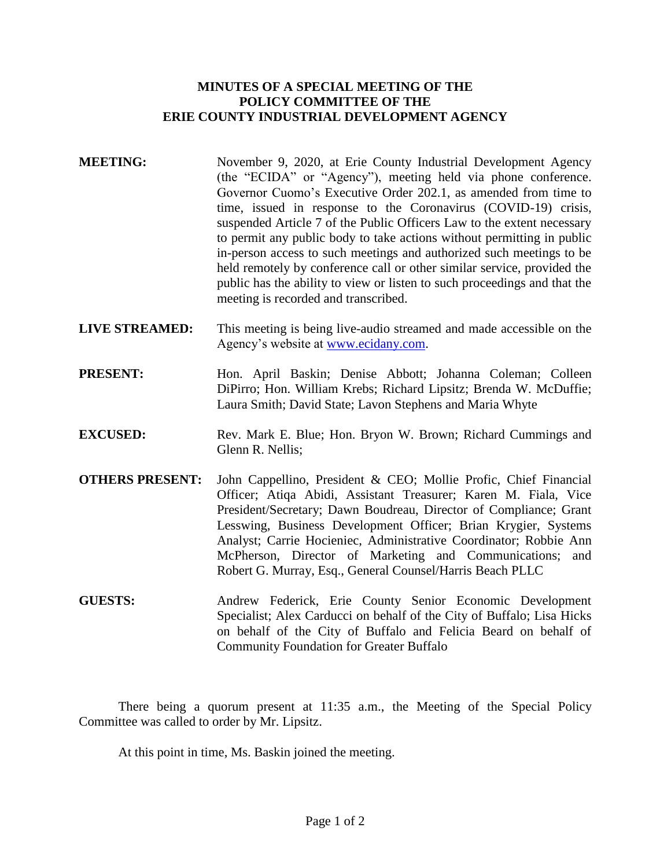## **MINUTES OF A SPECIAL MEETING OF THE POLICY COMMITTEE OF THE ERIE COUNTY INDUSTRIAL DEVELOPMENT AGENCY**

- **MEETING:** November 9, 2020, at Erie County Industrial Development Agency (the "ECIDA" or "Agency"), meeting held via phone conference. Governor Cuomo's Executive Order 202.1, as amended from time to time, issued in response to the Coronavirus (COVID-19) crisis, suspended Article 7 of the Public Officers Law to the extent necessary to permit any public body to take actions without permitting in public in-person access to such meetings and authorized such meetings to be held remotely by conference call or other similar service, provided the public has the ability to view or listen to such proceedings and that the meeting is recorded and transcribed.
- **LIVE STREAMED:** This meeting is being live-audio streamed and made accessible on the Agency's website at [www.ecidany.com.](http://www.ecidany.com/)
- PRESENT: Hon. April Baskin; Denise Abbott; Johanna Coleman; Colleen DiPirro; Hon. William Krebs; Richard Lipsitz; Brenda W. McDuffie; Laura Smith; David State; Lavon Stephens and Maria Whyte
- **EXCUSED:** Rev. Mark E. Blue; Hon. Bryon W. Brown; Richard Cummings and Glenn R. Nellis;
- **OTHERS PRESENT:** John Cappellino, President & CEO; Mollie Profic, Chief Financial Officer; Atiqa Abidi, Assistant Treasurer; Karen M. Fiala, Vice President/Secretary; Dawn Boudreau, Director of Compliance; Grant Lesswing, Business Development Officer; Brian Krygier, Systems Analyst; Carrie Hocieniec, Administrative Coordinator; Robbie Ann McPherson, Director of Marketing and Communications; and Robert G. Murray, Esq., General Counsel/Harris Beach PLLC
- **GUESTS:** Andrew Federick, Erie County Senior Economic Development Specialist; Alex Carducci on behalf of the City of Buffalo; Lisa Hicks on behalf of the City of Buffalo and Felicia Beard on behalf of Community Foundation for Greater Buffalo

There being a quorum present at 11:35 a.m., the Meeting of the Special Policy Committee was called to order by Mr. Lipsitz.

At this point in time, Ms. Baskin joined the meeting.